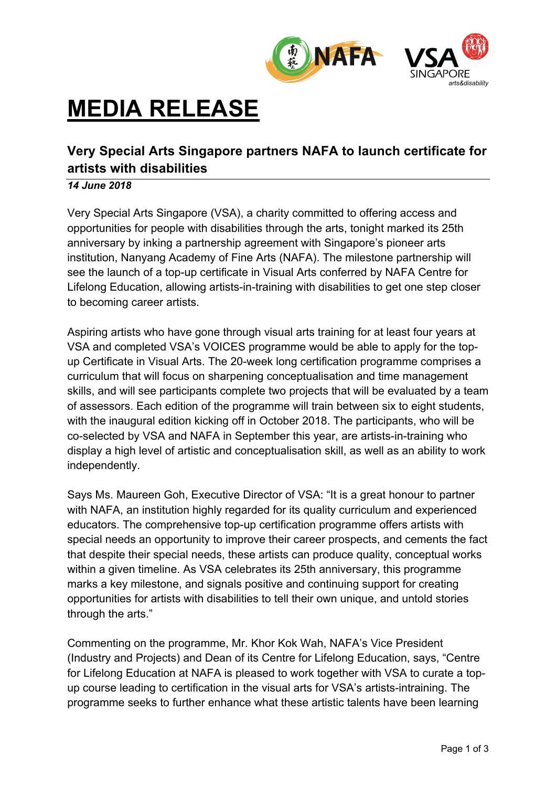

# **MEDIA RELEASE**

## **Very Special Arts Singapore partners NAFA to launch certificate for artists with disabilities**

### *14 June 2018*

Very Special Arts Singapore (VSA), a charity committed to offering access and opportunities for people with disabilities through the arts, tonight marked its 25th anniversary by inking a partnership agreement with Singapore's pioneer arts institution, Nanyang Academy of Fine Arts (NAFA). The milestone partnership will see the launch of a top-up certificate in Visual Arts conferred by NAFA Centre for Lifelong Education, allowing artists-in-training with disabilities to get one step closer to becoming career artists.

Aspiring artists who have gone through visual arts training for at least four years at VSA and completed VSA's VOICES programme would be able to apply for the topup Certificate in Visual Arts. The 20-week long certification programme comprises a curriculum that will focus on sharpening conceptualisation and time management skills, and will see participants complete two projects that will be evaluated by a team of assessors. Each edition of the programme will train between six to eight students, with the inaugural edition kicking off in October 2018. The participants, who will be co-selected by VSA and NAFA in September this year, are artists-in-training who display a high level of artistic and conceptualisation skill, as well as an ability to work independently.

Says Ms. Maureen Goh, Executive Director of VSA: "It is a great honour to partner with NAFA, an institution highly regarded for its quality curriculum and experienced educators. The comprehensive top-up certification programme offers artists with special needs an opportunity to improve their career prospects, and cements the fact that despite their special needs, these artists can produce quality, conceptual works within a given timeline. As VSA celebrates its 25th anniversary, this programme marks a key milestone, and signals positive and continuing support for creating opportunities for artists with disabilities to tell their own unique, and untold stories through the arts."

Commenting on the programme, Mr. Khor Kok Wah, NAFA's Vice President (Industry and Projects) and Dean of its Centre for Lifelong Education, says, "Centre for Lifelong Education at NAFA is pleased to work together with VSA to curate a topup course leading to certification in the visual arts for VSA's artists-intraining. The programme seeks to further enhance what these artistic talents have been learning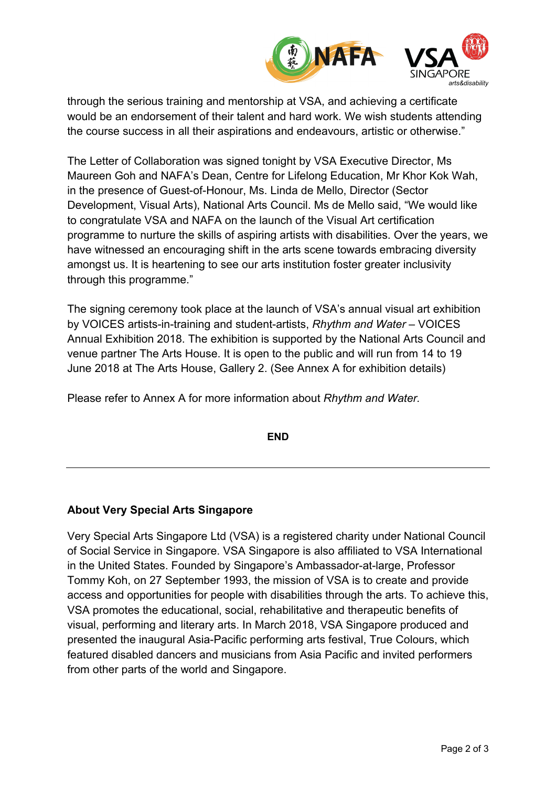

through the serious training and mentorship at VSA, and achieving a certificate would be an endorsement of their talent and hard work. We wish students attending the course success in all their aspirations and endeavours, artistic or otherwise."

The Letter of Collaboration was signed tonight by VSA Executive Director, Ms Maureen Goh and NAFA's Dean, Centre for Lifelong Education, Mr Khor Kok Wah, in the presence of Guest-of-Honour, Ms. Linda de Mello, Director (Sector Development, Visual Arts), National Arts Council. Ms de Mello said, "We would like to congratulate VSA and NAFA on the launch of the Visual Art certification programme to nurture the skills of aspiring artists with disabilities. Over the years, we have witnessed an encouraging shift in the arts scene towards embracing diversity amongst us. It is heartening to see our arts institution foster greater inclusivity through this programme."

The signing ceremony took place at the launch of VSA's annual visual art exhibition by VOICES artists-in-training and student-artists, *Rhythm and Water* – VOICES Annual Exhibition 2018. The exhibition is supported by the National Arts Council and venue partner The Arts House. It is open to the public and will run from 14 to 19 June 2018 at The Arts House, Gallery 2. (See Annex A for exhibition details)

Please refer to Annex A for more information about *Rhythm and Water.*

**END**

#### **About Very Special Arts Singapore**

Very Special Arts Singapore Ltd (VSA) is a registered charity under National Council of Social Service in Singapore. VSA Singapore is also affiliated to VSA International in the United States. Founded by Singapore's Ambassador-at-large, Professor Tommy Koh, on 27 September 1993, the mission of VSA is to create and provide access and opportunities for people with disabilities through the arts. To achieve this, VSA promotes the educational, social, rehabilitative and therapeutic benefits of visual, performing and literary arts. In March 2018, VSA Singapore produced and presented the inaugural Asia-Pacific performing arts festival, True Colours, which featured disabled dancers and musicians from Asia Pacific and invited performers from other parts of the world and Singapore.